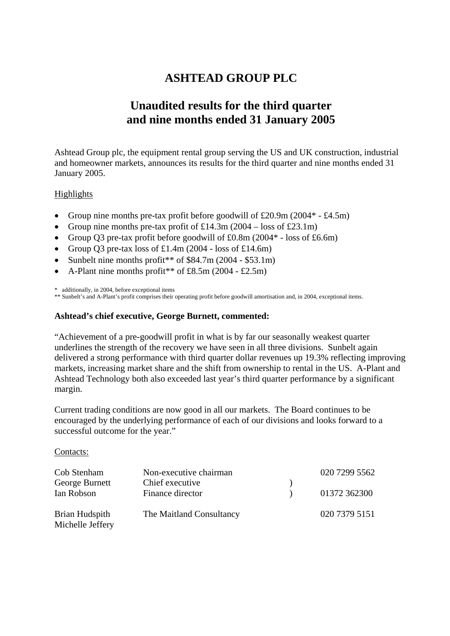# **ASHTEAD GROUP PLC**

# **Unaudited results for the third quarter and nine months ended 31 January 2005**

Ashtead Group plc, the equipment rental group serving the US and UK construction, industrial and homeowner markets, announces its results for the third quarter and nine months ended 31 January 2005.

# Highlights

- Group nine months pre-tax profit before goodwill of £20.9m (2004\* £4.5m)
- Group nine months pre-tax profit of £14.3m  $(2004 \text{loss of } £23.1\text{m})$
- Group O3 pre-tax profit before goodwill of  $\text{\pounds}0.8\text{m}$  (2004\* loss of  $\text{\pounds}6.6\text{m}$ )
- Group Q3 pre-tax loss of  $£1.4m(2004 loss of £14.6m)$
- Sunbelt nine months profit<sup>\*\*</sup> of  $$84.7m (2004 $53.1m)$
- A-Plant nine months profit\*\* of £8.5m (2004 £2.5m)

\* additionally, in 2004, before exceptional items

\*\* Sunbelt's and A-Plant's profit comprises their operating profit before goodwill amortisation and, in 2004, exceptional items.

## **Ashtead's chief executive, George Burnett, commented:**

"Achievement of a pre-goodwill profit in what is by far our seasonally weakest quarter underlines the strength of the recovery we have seen in all three divisions. Sunbelt again delivered a strong performance with third quarter dollar revenues up 19.3% reflecting improving markets, increasing market share and the shift from ownership to rental in the US. A-Plant and Ashtead Technology both also exceeded last year's third quarter performance by a significant margin.

Current trading conditions are now good in all our markets. The Board continues to be encouraged by the underlying performance of each of our divisions and looks forward to a successful outcome for the year."

### Contacts:

| Cob Stenham<br>George Burnett      | Non-executive chairman<br>Chief executive | 020 7299 5562 |
|------------------------------------|-------------------------------------------|---------------|
| Ian Robson                         | Finance director                          | 01372 362300  |
| Brian Hudspith<br>Michelle Jeffery | The Maitland Consultancy                  | 020 7379 5151 |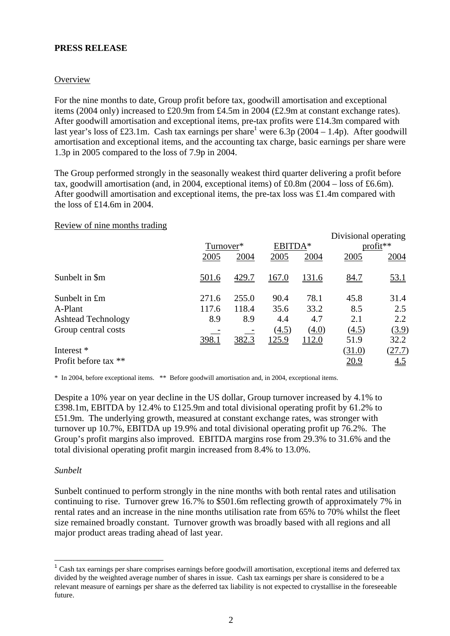### **PRESS RELEASE**

### **Overview**

For the nine months to date, Group profit before tax, goodwill amortisation and exceptional items (2004 only) increased to £20.9m from £4.5m in 2004 (£2.9m at constant exchange rates). After goodwill amortisation and exceptional items, pre-tax profits were £14.3m compared with last year's loss of £23.1m. Cash tax earnings per share<sup>1</sup> were 6.3p (2004 – 1.4p). After goodwill amortisation and exceptional items, and the accounting tax charge, basic earnings per share were 1.3p in 2005 compared to the loss of 7.9p in 2004.

The Group performed strongly in the seasonally weakest third quarter delivering a profit before tax, goodwill amortisation (and, in 2004, exceptional items) of £0.8m (2004 – loss of £6.6m). After goodwill amortisation and exceptional items, the pre-tax loss was £1.4m compared with the loss of £14.6m in 2004.

### Review of nine months trading

| $\frac{1}{2}$                                                                | Turnover*<br>2005     | 2004                           | EBITDA*<br>2005              | 2004                         | Divisional operating<br>2005        | $profit**$<br>2004                  |
|------------------------------------------------------------------------------|-----------------------|--------------------------------|------------------------------|------------------------------|-------------------------------------|-------------------------------------|
| Sunbelt in \$m                                                               | 501.6                 | 429.7                          | 167.0                        | <u>131.6</u>                 | 84.7                                | 53.1                                |
| Sunbelt in £m<br>A-Plant<br><b>Ashtead Technology</b><br>Group central costs | 271.6<br>117.6<br>8.9 | 255.0<br>118.4<br>8.9<br>382.3 | 90.4<br>35.6<br>4.4<br>(4.5) | 78.1<br>33.2<br>4.7<br>(4.0) | 45.8<br>8.5<br>2.1<br>(4.5)<br>51.9 | 31.4<br>2.5<br>2.2<br>(3.9)<br>32.2 |
| Interest *<br>Profit before tax **                                           | 398.1                 |                                | <u>125.9</u>                 | 112.0                        | (31.0)<br>20.9                      | (27.7)<br><u>4.5</u>                |

\* In 2004, before exceptional items. \*\* Before goodwill amortisation and, in 2004, exceptional items.

Despite a 10% year on year decline in the US dollar, Group turnover increased by 4.1% to £398.1m, EBITDA by 12.4% to £125.9m and total divisional operating profit by 61.2% to £51.9m. The underlying growth, measured at constant exchange rates, was stronger with turnover up 10.7%, EBITDA up 19.9% and total divisional operating profit up 76.2%. The Group's profit margins also improved. EBITDA margins rose from 29.3% to 31.6% and the total divisional operating profit margin increased from 8.4% to 13.0%.

### *Sunbelt*

Sunbelt continued to perform strongly in the nine months with both rental rates and utilisation continuing to rise. Turnover grew 16.7% to \$501.6m reflecting growth of approximately 7% in rental rates and an increase in the nine months utilisation rate from 65% to 70% whilst the fleet size remained broadly constant. Turnover growth was broadly based with all regions and all major product areas trading ahead of last year.

<span id="page-1-0"></span><sup>&</sup>lt;sup>1</sup> Cash tax earnings per share comprises earnings before goodwill amortisation, exceptional items and deferred tax divided by the weighted average number of shares in issue. Cash tax earnings per share is considered to be a relevant measure of earnings per share as the deferred tax liability is not expected to crystallise in the foreseeable future.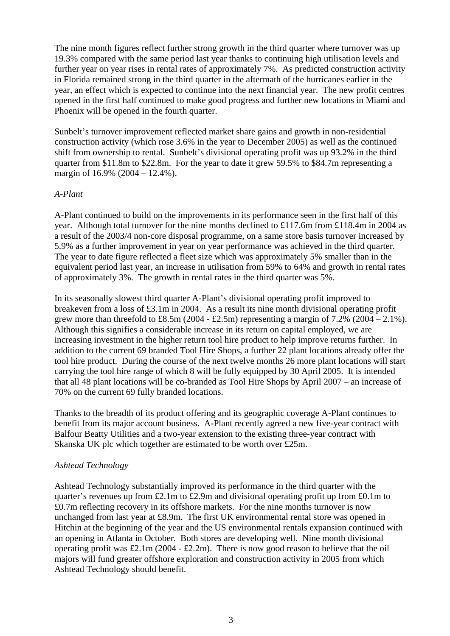The nine month figures reflect further strong growth in the third quarter where turnover was up 19.3% compared with the same period last year thanks to continuing high utilisation levels and further year on year rises in rental rates of approximately 7%. As predicted construction activity in Florida remained strong in the third quarter in the aftermath of the hurricanes earlier in the year, an effect which is expected to continue into the next financial year. The new profit centres opened in the first half continued to make good progress and further new locations in Miami and Phoenix will be opened in the fourth quarter.

Sunbelt's turnover improvement reflected market share gains and growth in non-residential construction activity (which rose 3.6% in the year to December 2005) as well as the continued shift from ownership to rental. Sunbelt's divisional operating profit was up 93.2% in the third quarter from \$11.8m to \$22.8m. For the year to date it grew 59.5% to \$84.7m representing a margin of 16.9% (2004 – 12.4%).

## *A-Plant*

A-Plant continued to build on the improvements in its performance seen in the first half of this year. Although total turnover for the nine months declined to £117.6m from £118.4m in 2004 as a result of the 2003/4 non-core disposal programme, on a same store basis turnover increased by 5.9% as a further improvement in year on year performance was achieved in the third quarter. The year to date figure reflected a fleet size which was approximately 5% smaller than in the equivalent period last year, an increase in utilisation from 59% to 64% and growth in rental rates of approximately 3%. The growth in rental rates in the third quarter was 5%.

In its seasonally slowest third quarter A-Plant's divisional operating profit improved to breakeven from a loss of £3.1m in 2004. As a result its nine month divisional operating profit grew more than threefold to £8.5m (2004 - £2.5m) representing a margin of  $7.2\%$  (2004 - 2.1%). Although this signifies a considerable increase in its return on capital employed, we are increasing investment in the higher return tool hire product to help improve returns further. In addition to the current 69 branded Tool Hire Shops, a further 22 plant locations already offer the tool hire product. During the course of the next twelve months 26 more plant locations will start carrying the tool hire range of which 8 will be fully equipped by 30 April 2005. It is intended that all 48 plant locations will be co-branded as Tool Hire Shops by April 2007 – an increase of 70% on the current 69 fully branded locations.

Thanks to the breadth of its product offering and its geographic coverage A-Plant continues to benefit from its major account business. A-Plant recently agreed a new five-year contract with Balfour Beatty Utilities and a two-year extension to the existing three-year contract with Skanska UK plc which together are estimated to be worth over £25m.

### *Ashtead Technology*

Ashtead Technology substantially improved its performance in the third quarter with the quarter's revenues up from £2.1m to £2.9m and divisional operating profit up from £0.1m to £0.7m reflecting recovery in its offshore markets. For the nine months turnover is now unchanged from last year at £8.9m. The first UK environmental rental store was opened in Hitchin at the beginning of the year and the US environmental rentals expansion continued with an opening in Atlanta in October. Both stores are developing well. Nine month divisional operating profit was  $\text{\pounds}2.1\text{m}$  (2004 -  $\text{\pounds}2.2\text{m}$ ). There is now good reason to believe that the oil majors will fund greater offshore exploration and construction activity in 2005 from which Ashtead Technology should benefit.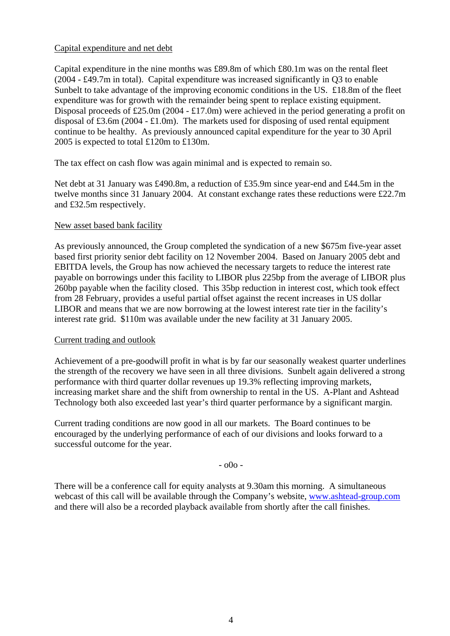## Capital expenditure and net debt

Capital expenditure in the nine months was £89.8m of which £80.1m was on the rental fleet (2004 - £49.7m in total). Capital expenditure was increased significantly in Q3 to enable Sunbelt to take advantage of the improving economic conditions in the US. £18.8m of the fleet expenditure was for growth with the remainder being spent to replace existing equipment. Disposal proceeds of £25.0m (2004 - £17.0m) were achieved in the period generating a profit on disposal of £3.6m (2004 - £1.0m). The markets used for disposing of used rental equipment continue to be healthy. As previously announced capital expenditure for the year to 30 April 2005 is expected to total £120m to £130m.

The tax effect on cash flow was again minimal and is expected to remain so.

Net debt at 31 January was £490.8m, a reduction of £35.9m since year-end and £44.5m in the twelve months since 31 January 2004. At constant exchange rates these reductions were £22.7m and £32.5m respectively.

## New asset based bank facility

As previously announced, the Group completed the syndication of a new \$675m five-year asset based first priority senior debt facility on 12 November 2004. Based on January 2005 debt and EBITDA levels, the Group has now achieved the necessary targets to reduce the interest rate payable on borrowings under this facility to LIBOR plus 225bp from the average of LIBOR plus 260bp payable when the facility closed. This 35bp reduction in interest cost, which took effect from 28 February, provides a useful partial offset against the recent increases in US dollar LIBOR and means that we are now borrowing at the lowest interest rate tier in the facility's interest rate grid. \$110m was available under the new facility at 31 January 2005.

### Current trading and outlook

Achievement of a pre-goodwill profit in what is by far our seasonally weakest quarter underlines the strength of the recovery we have seen in all three divisions. Sunbelt again delivered a strong performance with third quarter dollar revenues up 19.3% reflecting improving markets, increasing market share and the shift from ownership to rental in the US. A-Plant and Ashtead Technology both also exceeded last year's third quarter performance by a significant margin.

Current trading conditions are now good in all our markets. The Board continues to be encouraged by the underlying performance of each of our divisions and looks forward to a successful outcome for the year.

 $00^{\circ}$ 

There will be a conference call for equity analysts at 9.30am this morning. A simultaneous webcast of this call will be available through the Company's website, [www.ashtead-group.com](http://www.ashtead-group.com/) and there will also be a recorded playback available from shortly after the call finishes.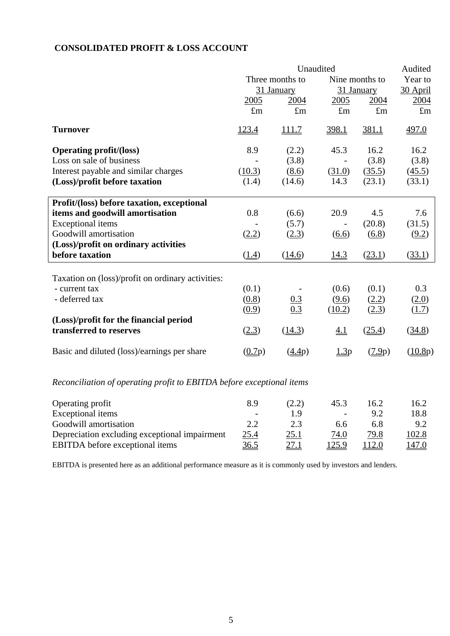# **CONSOLIDATED PROFIT & LOSS ACCOUNT**

|                                                   |                                | Audited           |             |             |             |
|---------------------------------------------------|--------------------------------|-------------------|-------------|-------------|-------------|
|                                                   | Three months to                | Nine months to    | Year to     |             |             |
|                                                   |                                | 31 January        |             | 31 January  | 30 April    |
|                                                   | 2005                           | 2004              | 2005        | 2004        | 2004        |
|                                                   | $\pounds$ m                    | $\pounds$ m       | $\pounds$ m | $\pounds$ m | $\pounds$ m |
| <b>Turnover</b>                                   | 123.4                          | <u>111.7</u>      | 398.1       | 381.1       | 497.0       |
| <b>Operating profit/(loss)</b>                    | 8.9                            | (2.2)             | 45.3        | 16.2        | 16.2        |
| Loss on sale of business                          |                                | (3.8)             |             | (3.8)       | (3.8)       |
| Interest payable and similar charges              | (10.3)                         | (8.6)             | (31.0)      | (35.5)      | (45.5)      |
| (Loss)/profit before taxation                     | (1.4)                          | (14.6)            | 14.3        | (23.1)      | (33.1)      |
| Profit/(loss) before taxation, exceptional        |                                |                   |             |             |             |
| items and goodwill amortisation                   | 0.8                            | (6.6)             | 20.9        | 4.5         | 7.6         |
| <b>Exceptional</b> items                          |                                | (5.7)             |             | (20.8)      | (31.5)      |
| Goodwill amortisation                             | (2.2)                          | (2.3)             | (6.6)       | (6.8)       | (9.2)       |
| (Loss)/profit on ordinary activities              |                                |                   |             |             |             |
| before taxation                                   | $\left(\underline{1.4}\right)$ | (14.6)            | 14.3        | (23.1)      | (33.1)      |
| Taxation on (loss)/profit on ordinary activities: |                                |                   |             |             |             |
| - current tax                                     | (0.1)                          |                   | (0.6)       | (0.1)       | 0.3         |
| - deferred tax                                    | (0.8)                          |                   | (9.6)       | (2.2)       | (2.0)       |
|                                                   | (0.9)                          | $\frac{0.3}{0.3}$ | (10.2)      | (2.3)       | (1.7)       |
| (Loss)/profit for the financial period            |                                |                   |             |             |             |
| transferred to reserves                           | (2.3)                          | (14.3)            | <u>4.1</u>  | (25.4)      | (34.8)      |
| Basic and diluted (loss)/earnings per share       | (0.7p)                         | (4.4p)            | 1.3p        | (7.9p)      | (10.8p)     |
|                                                   |                                |                   |             |             |             |

# *Reconciliation of operating profit to EBITDA before exceptional items*

| Operating profit                              | 8.9                      | (2.2)       | 45.3                         | 16.2 | 16.2  |
|-----------------------------------------------|--------------------------|-------------|------------------------------|------|-------|
| Exceptional items                             | $\overline{\phantom{a}}$ | 1 Q         | $\qquad \qquad \blacksquare$ | 9.2  | 18.8  |
| Goodwill amortisation                         | 2.2                      | 2.3         | 6.6                          | 6.8  | 9.2   |
| Depreciation excluding exceptional impairment | 25.4                     | <u>25.1</u> | 74.0                         | 79.8 | 102.8 |
| <b>EBITDA</b> before exceptional items        | 36.5                     | <u>27.1</u> | 125.9                        | 12.0 | 147.0 |

EBITDA is presented here as an additional performance measure as it is commonly used by investors and lenders.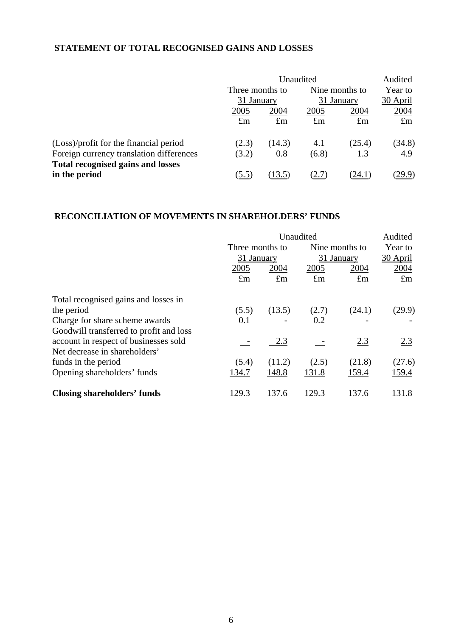# **STATEMENT OF TOTAL RECOGNISED GAINS AND LOSSES**

|                                                           | Unaudited                     |             |                              |             | Audited     |  |
|-----------------------------------------------------------|-------------------------------|-------------|------------------------------|-------------|-------------|--|
|                                                           | Three months to<br>31 January |             | Nine months to<br>31 January |             | Year to     |  |
|                                                           |                               |             |                              |             | 30 April    |  |
|                                                           | 2005                          | 2004        | 2005                         | 2004        | 2004        |  |
|                                                           | $\pounds$ m                   | $\pounds$ m | $\pounds$ m                  | $\pounds$ m | $\pounds$ m |  |
| (Loss)/profit for the financial period                    | (2.3)                         | (14.3)      | 4.1                          | (25.4)      | (34.8)      |  |
| Foreign currency translation differences                  | (3.2)                         | 0.8         | (6.8)                        | <u>1.3</u>  | <u>4.9</u>  |  |
| <b>Total recognised gains and losses</b><br>in the period | (5.5)                         | 13.5        |                              | (24.1)      | (29.9)      |  |

# **RECONCILIATION OF MOVEMENTS IN SHAREHOLDERS' FUNDS**

|                                         |             | Unaudited       |               |                |             |  |
|-----------------------------------------|-------------|-----------------|---------------|----------------|-------------|--|
|                                         |             | Three months to |               | Nine months to | Year to     |  |
|                                         | 31 January  |                 |               | 31 January     |             |  |
|                                         | 2005        | 2004            | 2005          | 2004           | 2004        |  |
|                                         | $\pounds$ m | $\pounds$ m     | $\pounds$ m   | $\pounds$ m    | $\pounds$ m |  |
| Total recognised gains and losses in    |             |                 |               |                |             |  |
| the period                              | (5.5)       | (13.5)          | (2.7)         | (24.1)         | (29.9)      |  |
| Charge for share scheme awards          | 0.1         |                 | 0.2           |                |             |  |
| Goodwill transferred to profit and loss |             |                 |               |                |             |  |
| account in respect of businesses sold   |             | 2.3             |               | 2.3            | 2.3         |  |
| Net decrease in shareholders'           |             |                 |               |                |             |  |
| funds in the period                     | (5.4)       | (11.2)          | (2.5)         | (21.8)         | (27.6)      |  |
| Opening shareholders' funds             | 134.7       | 148.8           | 131.8         | 159.4          | 159.4       |  |
| <b>Closing shareholders' funds</b>      | 129.3       | 137.6           | <u> 129.3</u> | 137.6          | 131.8       |  |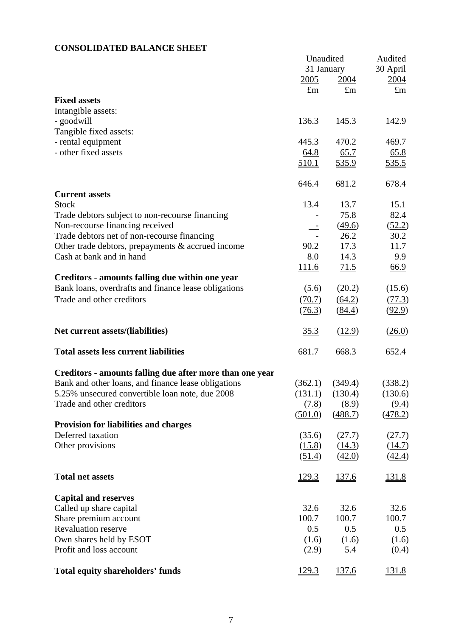# **CONSOLIDATED BALANCE SHEET**

|                                                          | Unaudited    | <b>Audited</b> |              |
|----------------------------------------------------------|--------------|----------------|--------------|
|                                                          | 31 January   |                | 30 April     |
|                                                          | 2005         | 2004           | 2004         |
|                                                          | $\pounds$ m  | $\pounds$ m    | $\pounds$ m  |
| <b>Fixed assets</b>                                      |              |                |              |
| Intangible assets:                                       |              |                |              |
| - goodwill                                               | 136.3        | 145.3          | 142.9        |
| Tangible fixed assets:                                   |              |                |              |
| - rental equipment                                       | 445.3        | 470.2          | 469.7        |
| - other fixed assets                                     | 64.8         | 65.7           | 65.8         |
|                                                          | 510.1        | 535.9          | <u>535.5</u> |
|                                                          | 646.4        | 681.2          | 678.4        |
| <b>Current assets</b>                                    |              |                |              |
| <b>Stock</b>                                             | 13.4         | 13.7           | 15.1         |
| Trade debtors subject to non-recourse financing          |              | 75.8           | 82.4         |
| Non-recourse financing received                          |              | (49.6)         | (52.2)       |
| Trade debtors net of non-recourse financing              |              | 26.2           | 30.2         |
| Other trade debtors, prepayments & accrued income        | 90.2         | 17.3           | 11.7         |
| Cash at bank and in hand                                 | 8.0          | 14.3           | 9.9          |
|                                                          | 111.6        | 71.5           | <u>66.9</u>  |
| Creditors - amounts falling due within one year          |              |                |              |
| Bank loans, overdrafts and finance lease obligations     | (5.6)        | (20.2)         | (15.6)       |
| Trade and other creditors                                | (70.7)       | (64.2)         | (77.3)       |
|                                                          | (76.3)       | (84.4)         | (92.9)       |
| Net current assets/(liabilities)                         | 35.3         | (12.9)         | (26.0)       |
| <b>Total assets less current liabilities</b>             | 681.7        | 668.3          | 652.4        |
| Creditors - amounts falling due after more than one year |              |                |              |
| Bank and other loans, and finance lease obligations      | (362.1)      | (349.4)        | (338.2)      |
| 5.25% unsecured convertible loan note, due 2008          | (131.1)      | (130.4)        | (130.6)      |
| Trade and other creditors                                | (7.8)        | (8.9)          | (9.4)        |
|                                                          | (501.0)      | (488.7)        | (478.2)      |
| Provision for liabilities and charges                    |              |                |              |
| Deferred taxation                                        | (35.6)       | (27.7)         | (27.7)       |
| Other provisions                                         | (15.8)       | (14.3)         | (14.7)       |
|                                                          | (51.4)       | (42.0)         | (42.4)       |
| <b>Total net assets</b>                                  | <u>129.3</u> | <u>137.6</u>   | <u>131.8</u> |
|                                                          |              |                |              |
| <b>Capital and reserves</b>                              | 32.6         | 32.6           | 32.6         |
| Called up share capital                                  |              |                |              |
| Share premium account                                    | 100.7        | 100.7          | 100.7        |
| <b>Revaluation reserve</b>                               | 0.5          | 0.5            | 0.5          |
| Own shares held by ESOT                                  | (1.6)        | (1.6)          | (1.6)        |
| Profit and loss account                                  | (2.9)        | <u>5.4</u>     | (0.4)        |
| <b>Total equity shareholders' funds</b>                  | 129.3        | 137.6          | 131.8        |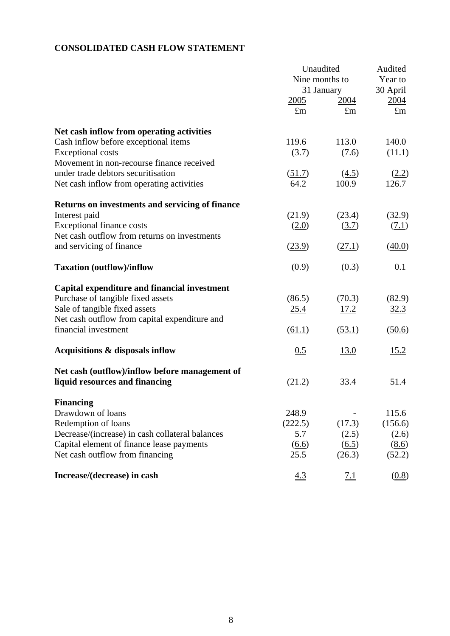# **CONSOLIDATED CASH FLOW STATEMENT**

|                                                 |                | Unaudited           |                     |  |
|-------------------------------------------------|----------------|---------------------|---------------------|--|
|                                                 | Nine months to |                     | Audited<br>Year to  |  |
|                                                 | 31 January     |                     | 30 April            |  |
|                                                 | 2005           | 2004                | 2004                |  |
|                                                 | $\pounds$ m    | $\pounds$ m         | $\pounds$ m         |  |
| Net cash inflow from operating activities       |                |                     |                     |  |
| Cash inflow before exceptional items            | 119.6          | 113.0               | 140.0               |  |
| <b>Exceptional costs</b>                        | (3.7)          | (7.6)               | (11.1)              |  |
| Movement in non-recourse finance received       |                |                     |                     |  |
| under trade debtors securitisation              | (51.7)         | (4.5)               | (2.2)               |  |
|                                                 |                |                     |                     |  |
| Net cash inflow from operating activities       | 64.2           | 100.9               | 126.7               |  |
| Returns on investments and servicing of finance |                |                     |                     |  |
| Interest paid                                   | (21.9)         | (23.4)              | (32.9)              |  |
| <b>Exceptional finance costs</b>                | (2.0)          | (3.7)               | (7.1)               |  |
| Net cash outflow from returns on investments    |                |                     |                     |  |
| and servicing of finance                        | (23.9)         | (27.1)              | (40.0)              |  |
| <b>Taxation (outflow)/inflow</b>                | (0.9)          | (0.3)               | 0.1                 |  |
| Capital expenditure and financial investment    |                |                     |                     |  |
| Purchase of tangible fixed assets               | (86.5)         | (70.3)              | (82.9)              |  |
| Sale of tangible fixed assets                   | <u>25.4</u>    | <u>17.2</u>         | 32.3                |  |
| Net cash outflow from capital expenditure and   |                |                     |                     |  |
| financial investment                            | (61.1)         | (53.1)              | (50.6)              |  |
| Acquisitions & disposals inflow                 | 0.5            | <u>13.0</u>         | 15.2                |  |
| Net cash (outflow)/inflow before management of  |                |                     |                     |  |
| liquid resources and financing                  | (21.2)         | 33.4                | 51.4                |  |
| <b>Financing</b>                                |                |                     |                     |  |
| Drawdown of loans                               | 248.9          |                     | 115.6               |  |
| Redemption of loans                             | (222.5)        | (17.3)              | (156.6)             |  |
| Decrease/(increase) in cash collateral balances | 5.7            | (2.5)               | (2.6)               |  |
| Capital element of finance lease payments       | (6.6)          | $\underline{(6.5)}$ | (8.6)               |  |
| Net cash outflow from financing                 | 25.5           | (26.3)              | (52.2)              |  |
| Increase/(decrease) in cash                     | 4.3            | <u>7.1</u>          | $\underline{(0.8)}$ |  |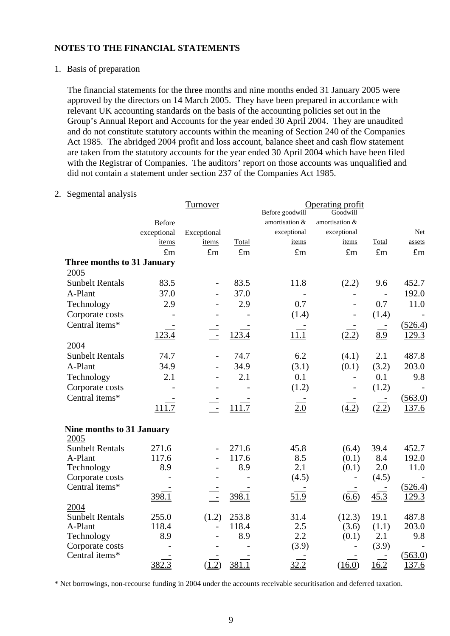1. Basis of preparation

The financial statements for the three months and nine months ended 31 January 2005 were approved by the directors on 14 March 2005. They have been prepared in accordance with relevant UK accounting standards on the basis of the accounting policies set out in the Group's Annual Report and Accounts for the year ended 30 April 2004. They are unaudited and do not constitute statutory accounts within the meaning of Section 240 of the Companies Act 1985. The abridged 2004 profit and loss account, balance sheet and cash flow statement are taken from the statutory accounts for the year ended 30 April 2004 which have been filed with the Registrar of Companies. The auditors' report on those accounts was unqualified and did not contain a statement under section 237 of the Companies Act 1985.

## 2. Segmental analysis

|                                  |                    | Turnover                 |             |                 | Operating profit |             |             |
|----------------------------------|--------------------|--------------------------|-------------|-----------------|------------------|-------------|-------------|
|                                  |                    |                          |             | Before goodwill | Goodwill         |             |             |
|                                  | <b>Before</b>      |                          |             | amortisation &  | amortisation &   |             |             |
|                                  | exceptional        | Exceptional              |             | exceptional     | exceptional      |             | Net         |
|                                  | items              | items                    | Total       | items           | items            | Total       | assets      |
|                                  | $\pounds$ m        | $\pounds$ m              | $\pounds$ m | $\pounds$ m     | $\pounds$ m      | $\pounds$ m | $\pounds$ m |
| Three months to 31 January       |                    |                          |             |                 |                  |             |             |
| 2005                             |                    |                          |             |                 |                  |             |             |
| <b>Sunbelt Rentals</b>           | 83.5               | $\overline{a}$           | 83.5        | 11.8            | (2.2)            | 9.6         | 452.7       |
| A-Plant                          | 37.0               |                          | 37.0        |                 |                  |             | 192.0       |
| Technology                       | 2.9                |                          | 2.9         | 0.7             |                  | 0.7         | 11.0        |
| Corporate costs                  |                    |                          |             | (1.4)           |                  | (1.4)       |             |
| Central items*                   |                    |                          |             |                 |                  | $\sim$      | (526.4)     |
|                                  | 123.4              | $\equiv$                 | 123.4       | <u>11.1</u>     | (2.2)            | 8.9         | 129.3       |
| 2004                             |                    |                          |             |                 |                  |             |             |
| <b>Sunbelt Rentals</b>           | 74.7               |                          | 74.7        | 6.2             | (4.1)            | 2.1         | 487.8       |
| A-Plant                          | 34.9               |                          | 34.9        | (3.1)           | (0.1)            | (3.2)       | 203.0       |
| Technology                       | 2.1                |                          | 2.1         | 0.1             |                  | 0.1         | 9.8         |
|                                  |                    |                          |             |                 |                  |             |             |
| Corporate costs                  |                    |                          |             | (1.2)           |                  | (1.2)       |             |
| Central items*                   |                    |                          |             |                 |                  |             | (563.0)     |
|                                  | 111.7              | $\overline{\phantom{a}}$ | 111.7       | 2.0             | (4.2)            | (2.2)       | 137.6       |
| <b>Nine months to 31 January</b> |                    |                          |             |                 |                  |             |             |
| 2005                             |                    |                          |             |                 |                  |             |             |
| <b>Sunbelt Rentals</b>           | 271.6              | $\overline{\phantom{0}}$ | 271.6       | 45.8            | (6.4)            | 39.4        | 452.7       |
| A-Plant                          | 117.6              |                          | 117.6       | 8.5             | (0.1)            | 8.4         | 192.0       |
| Technology                       | 8.9                |                          | 8.9         | 2.1             | (0.1)            | 2.0         | 11.0        |
| Corporate costs                  |                    |                          |             | (4.5)           |                  | (4.5)       |             |
| Central items*                   |                    |                          |             |                 |                  |             | (526.4)     |
|                                  | 398.1              |                          | 398.1       | 51.9            | (6.6)            | 45.3        | 129.3       |
| 2004                             |                    |                          |             |                 |                  |             |             |
| <b>Sunbelt Rentals</b>           | 255.0              | (1.2)                    | 253.8       | 31.4            | (12.3)           | 19.1        | 487.8       |
| A-Plant                          | 118.4              | $\overline{a}$           | 118.4       | 2.5             | (3.6)            | (1.1)       | 203.0       |
| Technology                       | 8.9                |                          | 8.9         | 2.2             | (0.1)            | 2.1         | 9.8         |
| Corporate costs                  |                    |                          |             | (3.9)           |                  | (3.9)       |             |
| Central items*                   |                    |                          |             |                 |                  |             | (563.0)     |
|                                  | $382.\overline{3}$ | (1.2)                    | 381.1       | 32.2            | (16.0)           | 16.2        | 137.6       |

\* Net borrowings, non-recourse funding in 2004 under the accounts receivable securitisation and deferred taxation.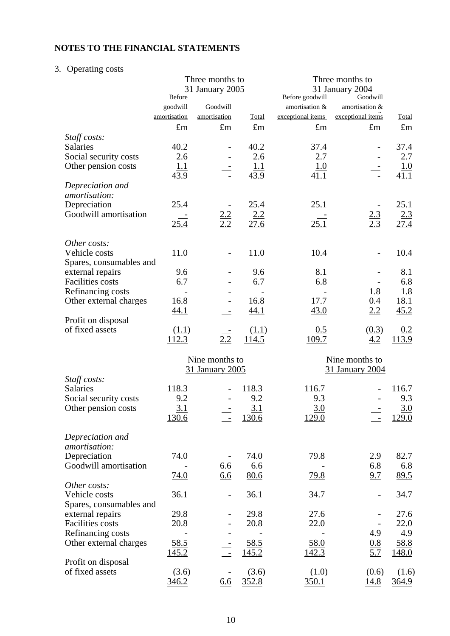# 3. Operating costs

|                         | Before       | Three months to<br>31 January 2005 |              | Before goodwill   | Three months to<br>31 January 2004<br>Goodwill |             |
|-------------------------|--------------|------------------------------------|--------------|-------------------|------------------------------------------------|-------------|
|                         | goodwill     | Goodwill                           |              | amortisation &    | amortisation &                                 |             |
|                         | amortisation | amortisation                       | Total        | exceptional items | exceptional items                              | Total       |
|                         | $\pounds$ m  | $\pounds$ m                        | $\pounds$ m  | $\pounds$ m       | $\pounds$ m                                    | $\pounds$ m |
|                         |              |                                    |              |                   |                                                |             |
| Staff costs:            |              |                                    |              |                   |                                                |             |
| Salaries                | 40.2         |                                    | 40.2         | 37.4              |                                                | 37.4        |
| Social security costs   | 2.6          |                                    | 2.6          | 2.7               |                                                | 2.7         |
| Other pension costs     | 1.1          |                                    | 1.1          | <u>1.0</u>        |                                                | <u>1.0</u>  |
|                         | 43.9         | $\overline{\phantom{a}}$           | 43.9         | 41.1              | $\blacksquare$                                 | 41.1        |
| Depreciation and        |              |                                    |              |                   |                                                |             |
| amortisation:           |              |                                    |              |                   |                                                |             |
| Depreciation            | 25.4         |                                    | 25.4         | 25.1              |                                                | 25.1        |
| Goodwill amortisation   |              | $\frac{2.2}{2.2}$                  | 2.2          |                   | $\frac{2.3}{2.3}$                              | 2.3         |
|                         | <u>25.4</u>  |                                    | 27.6         | 25.1              |                                                | 27.4        |
|                         |              |                                    |              |                   |                                                |             |
| Other costs:            |              |                                    |              |                   |                                                |             |
| Vehicle costs           | 11.0         | $\overline{\phantom{0}}$           | 11.0         | 10.4              |                                                | 10.4        |
| Spares, consumables and |              |                                    |              |                   |                                                |             |
| external repairs        | 9.6          |                                    | 9.6          | 8.1               |                                                | 8.1         |
| Facilities costs        | 6.7          |                                    | 6.7          | 6.8               |                                                | 6.8         |
| Refinancing costs       |              |                                    |              |                   | 1.8                                            | 1.8         |
| Other external charges  | 16.8         |                                    | 16.8         | 17.7              | <u>0.4</u>                                     | <u>18.1</u> |
|                         | <u>44.1</u>  |                                    | 44.1         | 43.0              | 2.2                                            | 45.2        |
| Profit on disposal      |              |                                    |              |                   |                                                |             |
| of fixed assets         |              |                                    |              |                   |                                                |             |
|                         | (1.1)        |                                    | (1.1)        | 0.5               | (0.3)                                          | 0.2         |
|                         | <u>112.3</u> | 2.2                                | <u>114.5</u> | 109.7             | 4.2                                            | 113.9       |
|                         |              |                                    |              |                   |                                                |             |
|                         |              | Nine months to                     |              |                   | Nine months to                                 |             |
|                         |              | 31 January 2005                    |              |                   | 31 January 2004                                |             |
| Staff costs:            |              |                                    |              |                   |                                                |             |
| <b>Salaries</b>         | 118.3        |                                    | 118.3        | 116.7             |                                                | 116.7       |
| Social security costs   | 9.2          |                                    | 9.2          | 9.3               |                                                | 9.3         |
| Other pension costs     | 3.1          |                                    | 3.1          | 3.0               |                                                | 3.0         |
|                         | 130.6        |                                    | <u>130.6</u> | 129.0             |                                                | 129.0       |
|                         |              |                                    |              |                   |                                                |             |
| Depreciation and        |              |                                    |              |                   |                                                |             |
| amortisation:           |              |                                    |              |                   |                                                |             |
| Depreciation            | 74.0         |                                    | 74.0         | 79.8              | 2.9                                            | 82.7        |
| Goodwill amortisation   |              | $\underline{6.6}$                  | 6.6          |                   | <u>6.8</u>                                     | <u>6.8</u>  |
|                         | 74.0         | 6.6                                | 80.6         | 79.8              | 9.7                                            | 89.5        |
| Other costs:            |              |                                    |              |                   |                                                |             |
| Vehicle costs           | 36.1         |                                    | 36.1         | 34.7              |                                                | 34.7        |
| Spares, consumables and |              |                                    |              |                   |                                                |             |
|                         | 29.8         |                                    |              |                   |                                                |             |
| external repairs        |              |                                    | 29.8         | 27.6              |                                                | 27.6        |
| <b>Facilities</b> costs | 20.8         |                                    | 20.8         | 22.0              |                                                | 22.0        |
| Refinancing costs       |              |                                    |              |                   | 4.9                                            | 4.9         |
| Other external charges  | 58.5         |                                    | 58.5         | 58.0              | $\frac{0.8}{5.7}$                              | 58.8        |
|                         | <u>145.2</u> |                                    | <u>145.2</u> | 142.3             |                                                | 148.0       |
| Profit on disposal      |              |                                    |              |                   |                                                |             |
| of fixed assets         | (3.6)        |                                    | (3.6)        | (1.0)             | (0.6)                                          | (1.6)       |
|                         | 346.2        | $\overline{6.6}$                   | 352.8        | 350.1             | 14.8                                           | 364.9       |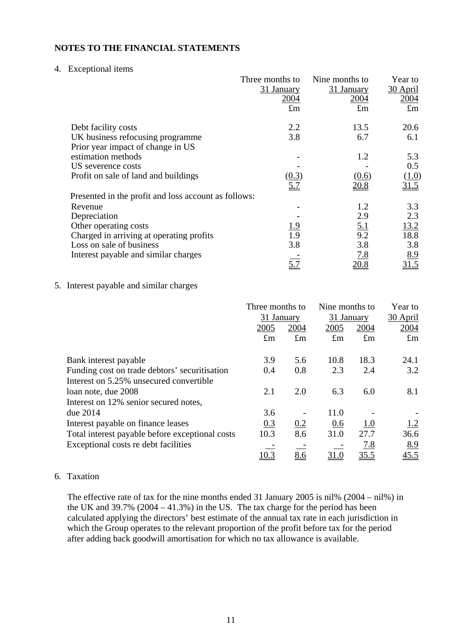#### 4. Exceptional items

|                                                      | Three months to | Nine months to    | Year to     |
|------------------------------------------------------|-----------------|-------------------|-------------|
|                                                      | 31 January      | 31 January        | 30 April    |
|                                                      | 2004            | 2004              | 2004        |
|                                                      | $\pounds$ m     | $\pounds$ m       | $\pounds$ m |
| Debt facility costs                                  | 2.2             | 13.5              | 20.6        |
| UK business refocusing programme                     | 3.8             | 6.7               | 6.1         |
| Prior year impact of change in US                    |                 |                   |             |
| estimation methods                                   |                 | 1.2               | 5.3         |
| US severence costs                                   |                 |                   | 0.5         |
| Profit on sale of land and buildings                 | <u>(0.3)</u>    | (0.6)             | (1.0)       |
|                                                      | 5.7             | 20.8              | 31.5        |
| Presented in the profit and loss account as follows: |                 |                   |             |
| Revenue                                              |                 | 1.2               | 3.3         |
| Depreciation                                         |                 | 2.9               | 2.3         |
| Other operating costs                                | <u> 1.9</u>     |                   | 13.2        |
| Charged in arriving at operating profits             | 1.9             | $\frac{5.1}{9.2}$ | 18.8        |
| Loss on sale of business                             | 3.8             | 3.8               | 3.8         |
| Interest payable and similar charges                 |                 | <u>7.8</u>        | 8.9         |
|                                                      | 5.7             | 20.8              | 31.5        |

## 5. Interest payable and similar charges

|                                                 | Three months to<br>31 January |             | Nine months to<br>31 January |             | Year to<br>30 April |
|-------------------------------------------------|-------------------------------|-------------|------------------------------|-------------|---------------------|
|                                                 | 2005                          | 2004        | 2005                         | 2004        | 2004                |
|                                                 | $\pounds$ m                   | $\pounds$ m | $\pounds$ m                  | $\pounds$ m | $\pounds$ m         |
| Bank interest payable                           | 3.9                           | 5.6         | 10.8                         | 18.3        | 24.1                |
| Funding cost on trade debtors' securitisation   | 0.4                           | 0.8         | 2.3                          | 2.4         | 3.2                 |
| Interest on 5.25% unsecured convertible         |                               |             |                              |             |                     |
| loan note, due 2008                             | 2.1                           | 2.0         | 6.3                          | 6.0         | 8.1                 |
| Interest on 12% senior secured notes,           |                               |             |                              |             |                     |
| due 2014                                        | 3.6                           |             | 11.0                         |             |                     |
| Interest payable on finance leases              | 0.3                           | 0.2         | 0.6                          | <u>1.0</u>  | 1.2                 |
| Total interest payable before exceptional costs | 10.3                          | 8.6         | 31.0                         | 27.7        | 36.6                |
| Exceptional costs re debt facilities            |                               |             |                              | <u>7.8</u>  | 8.9                 |
|                                                 | 10.3                          | 8.6         | <u>31.0</u>                  | 35.5        | 45.5                |

### 6. Taxation

The effective rate of tax for the nine months ended 31 January 2005 is nil% (2004 – nil%) in the UK and  $39.7\%$  ( $2004 - 41.3\%$ ) in the US. The tax charge for the period has been calculated applying the directors' best estimate of the annual tax rate in each jurisdiction in which the Group operates to the relevant proportion of the profit before tax for the period after adding back goodwill amortisation for which no tax allowance is available.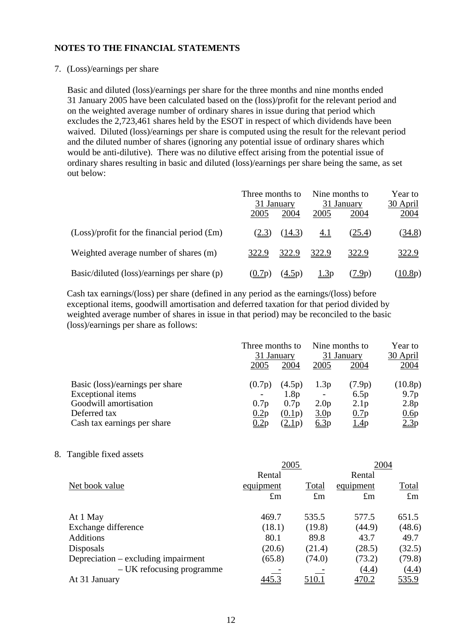#### 7. (Loss)/earnings per share

Basic and diluted (loss)/earnings per share for the three months and nine months ended 31 January 2005 have been calculated based on the (loss)/profit for the relevant period and on the weighted average number of ordinary shares in issue during that period which excludes the 2,723,461 shares held by the ESOT in respect of which dividends have been waived. Diluted (loss)/earnings per share is computed using the result for the relevant period and the diluted number of shares (ignoring any potential issue of ordinary shares which would be anti-dilutive). There was no dilutive effect arising from the potential issue of ordinary shares resulting in basic and diluted (loss)/earnings per share being the same, as set out below:

|                                                 | Three months to<br>31 January |                      | Nine months to<br>31 January |                  | Year to<br>30 April |
|-------------------------------------------------|-------------------------------|----------------------|------------------------------|------------------|---------------------|
|                                                 | 2005                          | 2004                 | 2005                         | 2004             | 2004                |
| $(Loss)/profit$ for the financial period $(fm)$ | (2.3)                         | (14.3)               | <u>4.1</u>                   | (25.4)           | <u>(34.8)</u>       |
| Weighted average number of shares (m)           | 322.9                         | 322.9                | 322.9                        | 322.9            | 322.9               |
| Basic/diluted (loss)/earnings per share (p)     | (0.7p)                        | $(\underline{4.5p})$ | 1.3p                         | 7.9 <sub>p</sub> | (10.8p)             |

Cash tax earnings/(loss) per share (defined in any period as the earnings/(loss) before exceptional items, goodwill amortisation and deferred taxation for that period divided by weighted average number of shares in issue in that period) may be reconciled to the basic (loss)/earnings per share as follows:

|                                 | Three months to<br>31 January |                  | Nine months to<br>31 January |                  | Year to<br>30 April |
|---------------------------------|-------------------------------|------------------|------------------------------|------------------|---------------------|
|                                 | 2005                          | 2004             | 2005                         | 2004             | 2004                |
| Basic (loss)/earnings per share | (0.7p)                        | (4.5p)           | 1.3p                         | (7.9p)           | (10.8p)             |
| <b>Exceptional items</b>        |                               | 1.8 <sub>p</sub> | $\overline{\phantom{a}}$     | 6.5p             | 9.7 <sub>p</sub>    |
| Goodwill amortisation           | 0.7p                          | 0.7p             | 2.0 <sub>p</sub>             | 2.1 <sub>p</sub> | 2.8p                |
| Deferred tax                    | 0.2p                          | (0.1p)           | 3.0 <sub>p</sub>             | 0.7p             | 0.6p                |
| Cash tax earnings per share     |                               | (2.1p)           | 6.3p                         | <u>1.4</u> p     | 2.3p                |

### 8. Tangible fixed assets

|             |              | 2004        |              |  |
|-------------|--------------|-------------|--------------|--|
| Rental      |              | Rental      |              |  |
| equipment   | Total        | equipment   | Total        |  |
| $\pounds$ m | $\pounds$ m  | $\pounds$ m | $\pounds$ m  |  |
| 469.7       | 535.5        | 577.5       | 651.5        |  |
| (18.1)      | (19.8)       | (44.9)      | (48.6)       |  |
| 80.1        | 89.8         | 43.7        | 49.7         |  |
| (20.6)      | (21.4)       | (28.5)      | (32.5)       |  |
| (65.8)      | (74.0)       | (73.2)      | (79.8)       |  |
|             |              | (4.4)       | <u>(4.4)</u> |  |
| 445.3       | <u>510.1</u> | 470.2       | <u>535.9</u> |  |
|             |              | 2005        |              |  |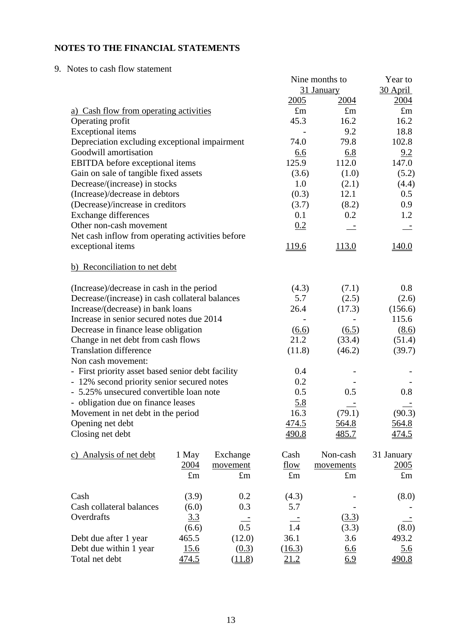9. Notes to cash flow statement

|                                                   |              |                     |              | Nine months to | Year to      |
|---------------------------------------------------|--------------|---------------------|--------------|----------------|--------------|
|                                                   |              |                     |              | 31 January     | 30 April     |
|                                                   |              |                     | 2005         | 2004           | 2004         |
| a) Cash flow from operating activities            |              |                     | $\pounds$ m  | $\pounds$ m    | $\pounds$ m  |
| Operating profit                                  |              |                     | 45.3         | 16.2           | 16.2         |
| <b>Exceptional</b> items                          |              |                     |              | 9.2            | 18.8         |
| Depreciation excluding exceptional impairment     |              |                     | 74.0         | 79.8           | 102.8        |
| Goodwill amortisation                             |              |                     | 6.6          | 6.8            | 9.2          |
| EBITDA before exceptional items                   |              |                     | 125.9        | 112.0          | 147.0        |
| Gain on sale of tangible fixed assets             |              |                     | (3.6)        | (1.0)          | (5.2)        |
| Decrease/(increase) in stocks                     |              |                     | 1.0          | (2.1)          | (4.4)        |
| (Increase)/decrease in debtors                    |              |                     | (0.3)        | 12.1           | 0.5          |
| (Decrease)/increase in creditors                  |              |                     | (3.7)        | (8.2)          | 0.9          |
| <b>Exchange differences</b>                       |              |                     | 0.1          | 0.2            | 1.2          |
| Other non-cash movement                           |              |                     | 0.2          |                |              |
| Net cash inflow from operating activities before  |              |                     |              |                |              |
| exceptional items                                 |              |                     | 119.6        | 113.0          | 140.0        |
| b) Reconciliation to net debt                     |              |                     |              |                |              |
| (Increase)/decrease in cash in the period         |              |                     | (4.3)        | (7.1)          | 0.8          |
| Decrease/(increase) in cash collateral balances   |              |                     | 5.7          | (2.5)          | (2.6)        |
| Increase/(decrease) in bank loans                 |              | 26.4                | (17.3)       | (156.6)        |              |
| Increase in senior secured notes due 2014         |              |                     |              |                | 115.6        |
| Decrease in finance lease obligation              |              | $\underline{(6.6)}$ | (6.5)        | (8.6)          |              |
| Change in net debt from cash flows                |              |                     | 21.2         | (33.4)         | (51.4)       |
| <b>Translation difference</b>                     |              |                     | (11.8)       | (46.2)         | (39.7)       |
| Non cash movement:                                |              |                     |              |                |              |
| - First priority asset based senior debt facility |              |                     | 0.4          |                |              |
| - 12% second priority senior secured notes        |              |                     | 0.2          |                |              |
| - 5.25% unsecured convertible loan note           |              |                     | 0.5          | 0.5            | 0.8          |
| - obligation due on finance leases                |              |                     | 5.8          |                |              |
| Movement in net debt in the period                |              |                     | 16.3         | (79.1)         | (90.3)       |
| Opening net debt                                  |              |                     | <u>474.5</u> | <u>564.8</u>   | <u>564.8</u> |
| Closing net debt                                  |              |                     | 490.8        | 485.7          | 474.5        |
| c) Analysis of net debt                           | 1 May        | Exchange            | Cash         | Non-cash       | 31 January   |
|                                                   | 2004         | movement            | flow         | movements      | 2005         |
|                                                   | $\pounds$ m  | $\pounds$ m         | $\pounds$ m  | $\pounds$ m    | $\pounds$ m  |
| Cash                                              | (3.9)        | 0.2                 | (4.3)        |                | (8.0)        |
| Cash collateral balances                          | (6.0)        | 0.3                 | 5.7          |                |              |
| Overdrafts                                        | 3.3          |                     |              | (3.3)          |              |
|                                                   | (6.6)        | 0.5                 | 1.4          | (3.3)          | (8.0)        |
| Debt due after 1 year                             | 465.5        | (12.0)              | 36.1         | 3.6            | 493.2        |
| Debt due within 1 year                            | 15.6         | (0.3)               | (16.3)       | 6.6            | 5.6          |
| Total net debt                                    | <u>474.5</u> | (11.8)              | <u>21.2</u>  | 6.9            | 490.8        |
|                                                   |              |                     |              |                |              |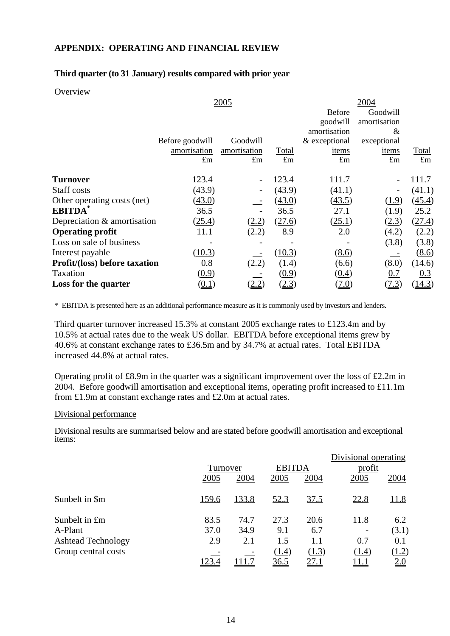## **APPENDIX: OPERATING AND FINANCIAL REVIEW**

#### **Third quarter (to 31 January) results compared with prior year**

#### **Overview**

|                               | 2005            |              |        | 2004          |              |             |  |
|-------------------------------|-----------------|--------------|--------|---------------|--------------|-------------|--|
|                               |                 |              |        | <b>Before</b> | Goodwill     |             |  |
|                               |                 |              |        | goodwill      | amortisation |             |  |
|                               |                 |              |        | amortisation  | &            |             |  |
|                               | Before goodwill | Goodwill     |        | & exceptional | exceptional  |             |  |
|                               | amortisation    | amortisation | Total  | items         | items        | Total       |  |
|                               | $\pounds$ m     | $\pounds$ m  | £m     | $\pounds$ m   | $\pounds$ m  | $\pounds$ m |  |
| <b>Turnover</b>               | 123.4           |              | 123.4  | 111.7         |              | 111.7       |  |
| Staff costs                   | (43.9)          |              | (43.9) | (41.1)        |              | (41.1)      |  |
| Other operating costs (net)   | (43.0)          |              | (43.0) | (43.5)        | (1.9)        | (45.4)      |  |
| <b>EBITDA</b>                 | 36.5            |              | 36.5   | 27.1          | (1.9)        | 25.2        |  |
| Depreciation & amortisation   | (25.4)          | (2.2)        | (27.6) | (25.1)        | (2.3)        | (27.4)      |  |
| <b>Operating profit</b>       | 11.1            | (2.2)        | 8.9    | 2.0           | (4.2)        | (2.2)       |  |
| Loss on sale of business      |                 |              |        |               | (3.8)        | (3.8)       |  |
| Interest payable              | (10.3)          |              | (10.3) | (8.6)         |              | (8.6)       |  |
| Profit/(loss) before taxation | 0.8             | (2.2)        | (1.4)  | (6.6)         | (8.0)        | (14.6)      |  |
| Taxation                      | (0.9)           |              | (0.9)  | (0.4)         | 0.7          | 0.3         |  |
| Loss for the quarter          | <u>(0.1)</u>    | <u>2.2</u>   | (2.3)  | <u>7.0)</u>   | (7.3)        | (14.3)      |  |

\* EBITDA is presented here as an additional performance measure as it is commonly used by investors and lenders.

Third quarter turnover increased 15.3% at constant 2005 exchange rates to £123.4m and by 10.5% at actual rates due to the weak US dollar. EBITDA before exceptional items grew by 40.6% at constant exchange rates to £36.5m and by 34.7% at actual rates. Total EBITDA increased 44.8% at actual rates.

Operating profit of £8.9m in the quarter was a significant improvement over the loss of £2.2m in 2004. Before goodwill amortisation and exceptional items, operating profit increased to £11.1m from £1.9m at constant exchange rates and £2.0m at actual rates.

#### Divisional performance

Divisional results are summarised below and are stated before goodwill amortisation and exceptional items:

|                           |       |          |             |               | Divisional operating |              |
|---------------------------|-------|----------|-------------|---------------|----------------------|--------------|
|                           |       | Turnover |             | <b>EBITDA</b> | profit               |              |
|                           | 2005  | 2004     | 2005        | 2004          | 2005                 | 2004         |
| Sunbelt in \$m            | 159.6 | 133.8    | <u>52.3</u> | 37.5          | 22.8                 | <u> 11.8</u> |
| Sunbelt in £m             | 83.5  | 74.7     | 27.3        | 20.6          | 11.8                 | 6.2          |
| A-Plant                   | 37.0  | 34.9     | 9.1         | 6.7           |                      | (3.1)        |
| <b>Ashtead Technology</b> | 2.9   | 2.1      | 1.5         | 1.1           | 0.7                  | 0.1          |
| Group central costs       |       |          | (1.4)       | (1.3)         | (1.4)                | (1.2)        |
|                           | 123.4 |          | <u>36.5</u> | <u>27.1</u>   | 11.1                 | <u>2.0</u>   |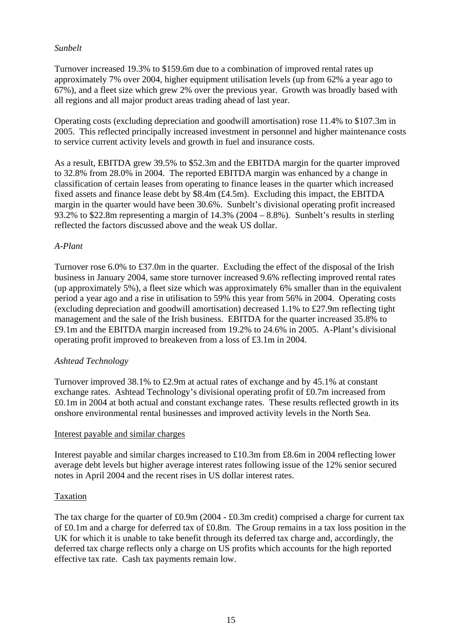# *Sunbelt*

Turnover increased 19.3% to \$159.6m due to a combination of improved rental rates up approximately 7% over 2004, higher equipment utilisation levels (up from 62% a year ago to 67%), and a fleet size which grew 2% over the previous year. Growth was broadly based with all regions and all major product areas trading ahead of last year.

Operating costs (excluding depreciation and goodwill amortisation) rose 11.4% to \$107.3m in 2005. This reflected principally increased investment in personnel and higher maintenance costs to service current activity levels and growth in fuel and insurance costs.

As a result, EBITDA grew 39.5% to \$52.3m and the EBITDA margin for the quarter improved to 32.8% from 28.0% in 2004. The reported EBITDA margin was enhanced by a change in classification of certain leases from operating to finance leases in the quarter which increased fixed assets and finance lease debt by \$8.4m (£4.5m). Excluding this impact, the EBITDA margin in the quarter would have been 30.6%. Sunbelt's divisional operating profit increased 93.2% to \$22.8m representing a margin of 14.3% (2004 – 8.8%). Sunbelt's results in sterling reflected the factors discussed above and the weak US dollar.

## *A-Plant*

Turnover rose 6.0% to £37.0m in the quarter. Excluding the effect of the disposal of the Irish business in January 2004, same store turnover increased 9.6% reflecting improved rental rates (up approximately 5%), a fleet size which was approximately 6% smaller than in the equivalent period a year ago and a rise in utilisation to 59% this year from 56% in 2004. Operating costs (excluding depreciation and goodwill amortisation) decreased 1.1% to £27.9m reflecting tight management and the sale of the Irish business. EBITDA for the quarter increased 35.8% to £9.1m and the EBITDA margin increased from 19.2% to 24.6% in 2005. A-Plant's divisional operating profit improved to breakeven from a loss of £3.1m in 2004.

# *Ashtead Technology*

Turnover improved 38.1% to £2.9m at actual rates of exchange and by 45.1% at constant exchange rates. Ashtead Technology's divisional operating profit of £0.7m increased from £0.1m in 2004 at both actual and constant exchange rates. These results reflected growth in its onshore environmental rental businesses and improved activity levels in the North Sea.

### Interest payable and similar charges

Interest payable and similar charges increased to £10.3m from £8.6m in 2004 reflecting lower average debt levels but higher average interest rates following issue of the 12% senior secured notes in April 2004 and the recent rises in US dollar interest rates.

### Taxation

The tax charge for the quarter of £0.9m (2004 - £0.3m credit) comprised a charge for current tax of £0.1m and a charge for deferred tax of £0.8m. The Group remains in a tax loss position in the UK for which it is unable to take benefit through its deferred tax charge and, accordingly, the deferred tax charge reflects only a charge on US profits which accounts for the high reported effective tax rate. Cash tax payments remain low.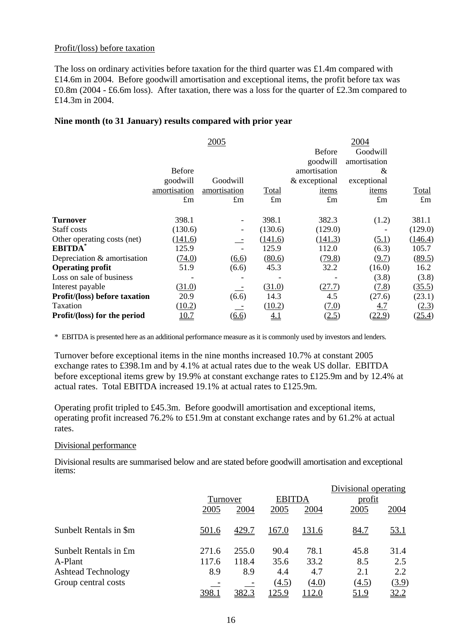### Profit/(loss) before taxation

The loss on ordinary activities before taxation for the third quarter was £1.4m compared with £14.6m in 2004. Before goodwill amortisation and exceptional items, the profit before tax was £0.8m (2004 - £6.6m loss). After taxation, there was a loss for the quarter of £2.3m compared to £14.3m in 2004.

# **Nine month (to 31 January) results compared with prior year**

|                                      |               | 2005                     |             |               | 2004         |             |
|--------------------------------------|---------------|--------------------------|-------------|---------------|--------------|-------------|
|                                      |               |                          |             | <b>Before</b> | Goodwill     |             |
|                                      |               |                          |             | goodwill      | amortisation |             |
|                                      | <b>Before</b> |                          |             | amortisation  | &            |             |
|                                      | goodwill      | Goodwill                 |             | & exceptional | exceptional  |             |
|                                      | amortisation  | amortisation             | Total       | items         | items        | Total       |
|                                      | $\pounds$ m   | $\pounds$ m              | $\pounds$ m | $\pounds$ m   | $\pounds$ m  | $\pounds$ m |
|                                      |               |                          |             |               |              |             |
| <b>Turnover</b>                      | 398.1         |                          | 398.1       | 382.3         | (1.2)        | 381.1       |
| Staff costs                          | (130.6)       | $\overline{\phantom{a}}$ | (130.6)     | (129.0)       |              | (129.0)     |
| Other operating costs (net)          | (141.6)       |                          | (141.6)     | (141.3)       | (5.1)        | (146.4)     |
| <b>EBITDA</b>                        | 125.9         |                          | 125.9       | 112.0         | (6.3)        | 105.7       |
| Depreciation & amortisation          | (74.0)        | (6.6)                    | (80.6)      | (79.8)        | (9.7)        | (89.5)      |
| <b>Operating profit</b>              | 51.9          | (6.6)                    | 45.3        | 32.2          | (16.0)       | 16.2        |
| Loss on sale of business             |               |                          |             |               | (3.8)        | (3.8)       |
| Interest payable                     | (31.0)        |                          | (31.0)      | (27.7)        | (7.8)        | (35.5)      |
| <b>Profit/(loss) before taxation</b> | 20.9          | (6.6)                    | 14.3        | 4.5           | (27.6)       | (23.1)      |
| Taxation                             | (10.2)        |                          | (10.2)      | (7.0)         | <u>4.7</u>   | (2.3)       |
| Profit/(loss) for the period         | 10.7          | (6.6)                    | <u>4.1</u>  | (2.5)         | (22.9)       | (25.4)      |
|                                      |               |                          |             |               |              |             |

\* EBITDA is presented here as an additional performance measure as it is commonly used by investors and lenders.

Turnover before exceptional items in the nine months increased 10.7% at constant 2005 exchange rates to £398.1m and by 4.1% at actual rates due to the weak US dollar. EBITDA before exceptional items grew by 19.9% at constant exchange rates to £125.9m and by 12.4% at actual rates. Total EBITDA increased 19.1% at actual rates to £125.9m.

Operating profit tripled to £45.3m. Before goodwill amortisation and exceptional items, operating profit increased 76.2% to £51.9m at constant exchange rates and by 61.2% at actual rates.

### Divisional performance

Divisional results are summarised below and are stated before goodwill amortisation and exceptional items:

|                           |              |          |       |               | Divisional operating |              |
|---------------------------|--------------|----------|-------|---------------|----------------------|--------------|
|                           |              | Turnover |       | <b>EBITDA</b> | <u>profit</u>        |              |
|                           | 2005         | 2004     | 2005  | 2004          | 2005                 | 2004         |
| Sunbelt Rentals in \$m    | <u>501.6</u> | 429.7    | 167.0 | 131.6         | 84.7                 | <u>53.1</u>  |
| Sunbelt Rentals in £m     | 271.6        | 255.0    | 90.4  | 78.1          | 45.8                 | 31.4         |
| A-Plant                   | 117.6        | 118.4    | 35.6  | 33.2          | 8.5                  | 2.5          |
| <b>Ashtead Technology</b> | 8.9          | 8.9      | 4.4   | 4.7           | 2.1                  | 2.2          |
| Group central costs       |              |          | (4.5) | (4.0)         | (4.5)                | <u>(3.9)</u> |
|                           | 398.1        | 382.3    | 125.9 | 112.0         | 51.9                 | <u>32.2</u>  |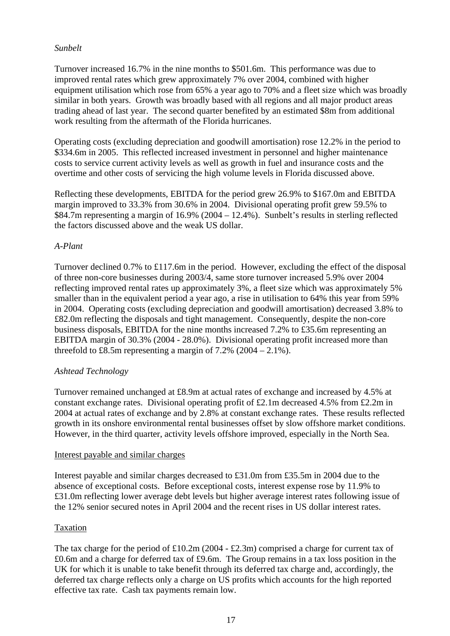# *Sunbelt*

Turnover increased 16.7% in the nine months to \$501.6m. This performance was due to improved rental rates which grew approximately 7% over 2004, combined with higher equipment utilisation which rose from 65% a year ago to 70% and a fleet size which was broadly similar in both years. Growth was broadly based with all regions and all major product areas trading ahead of last year. The second quarter benefited by an estimated \$8m from additional work resulting from the aftermath of the Florida hurricanes.

Operating costs (excluding depreciation and goodwill amortisation) rose 12.2% in the period to \$334.6m in 2005. This reflected increased investment in personnel and higher maintenance costs to service current activity levels as well as growth in fuel and insurance costs and the overtime and other costs of servicing the high volume levels in Florida discussed above.

Reflecting these developments, EBITDA for the period grew 26.9% to \$167.0m and EBITDA margin improved to 33.3% from 30.6% in 2004. Divisional operating profit grew 59.5% to \$84.7m representing a margin of 16.9% (2004 – 12.4%). Sunbelt's results in sterling reflected the factors discussed above and the weak US dollar.

## *A-Plant*

Turnover declined 0.7% to £117.6m in the period. However, excluding the effect of the disposal of three non-core businesses during 2003/4, same store turnover increased 5.9% over 2004 reflecting improved rental rates up approximately 3%, a fleet size which was approximately 5% smaller than in the equivalent period a year ago, a rise in utilisation to 64% this year from 59% in 2004. Operating costs (excluding depreciation and goodwill amortisation) decreased 3.8% to £82.0m reflecting the disposals and tight management. Consequently, despite the non-core business disposals, EBITDA for the nine months increased 7.2% to £35.6m representing an EBITDA margin of 30.3% (2004 - 28.0%). Divisional operating profit increased more than threefold to £8.5m representing a margin of  $7.2\%$  (2004 – 2.1%).

# *Ashtead Technology*

Turnover remained unchanged at £8.9m at actual rates of exchange and increased by 4.5% at constant exchange rates. Divisional operating profit of £2.1m decreased 4.5% from £2.2m in 2004 at actual rates of exchange and by 2.8% at constant exchange rates. These results reflected growth in its onshore environmental rental businesses offset by slow offshore market conditions. However, in the third quarter, activity levels offshore improved, especially in the North Sea.

### Interest payable and similar charges

Interest payable and similar charges decreased to £31.0m from £35.5m in 2004 due to the absence of exceptional costs. Before exceptional costs, interest expense rose by 11.9% to £31.0m reflecting lower average debt levels but higher average interest rates following issue of the 12% senior secured notes in April 2004 and the recent rises in US dollar interest rates.

### Taxation

The tax charge for the period of £10.2m (2004 - £2.3m) comprised a charge for current tax of £0.6m and a charge for deferred tax of £9.6m. The Group remains in a tax loss position in the UK for which it is unable to take benefit through its deferred tax charge and, accordingly, the deferred tax charge reflects only a charge on US profits which accounts for the high reported effective tax rate. Cash tax payments remain low.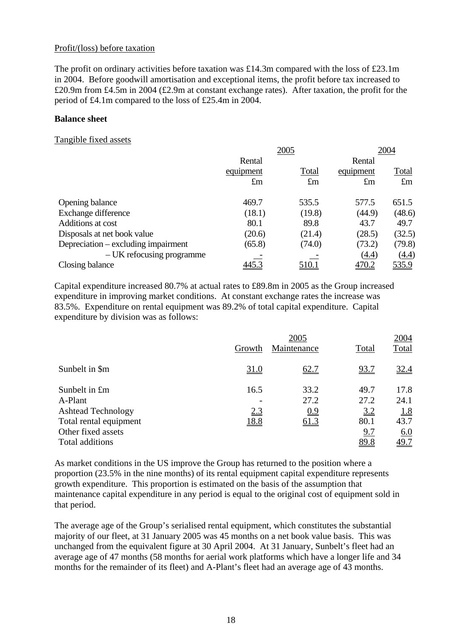### Profit/(loss) before taxation

The profit on ordinary activities before taxation was £14.3m compared with the loss of £23.1m in 2004. Before goodwill amortisation and exceptional items, the profit before tax increased to £20.9m from £4.5m in 2004 (£2.9m at constant exchange rates). After taxation, the profit for the period of £4.1m compared to the loss of £25.4m in 2004.

### **Balance sheet**

#### Tangible fixed assets

|                                     |             | 2005        |             | 2004        |  |
|-------------------------------------|-------------|-------------|-------------|-------------|--|
|                                     | Rental      |             | Rental      |             |  |
|                                     | equipment   | Total       | equipment   | Total       |  |
|                                     | $\pounds$ m | $\pounds$ m | $\pounds$ m | $\pounds$ m |  |
| Opening balance                     | 469.7       | 535.5       | 577.5       | 651.5       |  |
| Exchange difference                 | (18.1)      | (19.8)      | (44.9)      | (48.6)      |  |
| Additions at cost                   | 80.1        | 89.8        | 43.7        | 49.7        |  |
| Disposals at net book value         | (20.6)      | (21.4)      | (28.5)      | (32.5)      |  |
| Depreciation – excluding impairment | (65.8)      | (74.0)      | (73.2)      | (79.8)      |  |
| – UK refocusing programme           |             |             | (4.4)       | (4.4)       |  |
| Closing balance                     | 445.3       | 510.1       | 470.2       | 535.9       |  |

Capital expenditure increased 80.7% at actual rates to £89.8m in 2005 as the Group increased expenditure in improving market conditions. At constant exchange rates the increase was 83.5%. Expenditure on rental equipment was 89.2% of total capital expenditure. Capital expenditure by division was as follows:

|                           |             | 2005        |             | 2004        |
|---------------------------|-------------|-------------|-------------|-------------|
|                           | Growth      | Maintenance | Total       | Total       |
| Sunbelt in \$m            | <u>31.0</u> | 62.7        | <u>93.7</u> | 32.4        |
| Sunbelt in £m             | 16.5        | 33.2        | 49.7        | 17.8        |
| A-Plant                   |             | 27.2        | 27.2        | 24.1        |
| <b>Ashtead Technology</b> | 2.3         | 0.9         | 3.2         | <u>1.8</u>  |
| Total rental equipment    | <u>18.8</u> | 61.3        | 80.1        | 43.7        |
| Other fixed assets        |             |             | <u>9.7</u>  | 6.0         |
| Total additions           |             |             | 89.8        | <u>49.7</u> |

As market conditions in the US improve the Group has returned to the position where a proportion (23.5% in the nine months) of its rental equipment capital expenditure represents growth expenditure. This proportion is estimated on the basis of the assumption that maintenance capital expenditure in any period is equal to the original cost of equipment sold in that period.

The average age of the Group's serialised rental equipment, which constitutes the substantial majority of our fleet, at 31 January 2005 was 45 months on a net book value basis. This was unchanged from the equivalent figure at 30 April 2004. At 31 January, Sunbelt's fleet had an average age of 47 months (58 months for aerial work platforms which have a longer life and 34 months for the remainder of its fleet) and A-Plant's fleet had an average age of 43 months.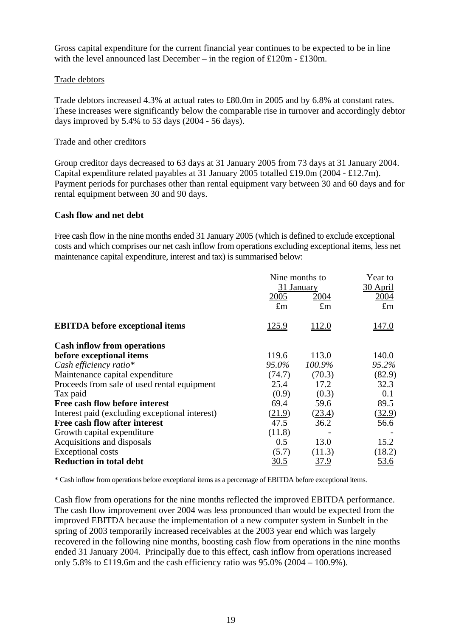Gross capital expenditure for the current financial year continues to be expected to be in line with the level announced last December – in the region of £120m - £130m.

### Trade debtors

Trade debtors increased 4.3% at actual rates to £80.0m in 2005 and by 6.8% at constant rates. These increases were significantly below the comparable rise in turnover and accordingly debtor days improved by 5.4% to 53 days (2004 - 56 days).

## Trade and other creditors

Group creditor days decreased to 63 days at 31 January 2005 from 73 days at 31 January 2004. Capital expenditure related payables at 31 January 2005 totalled £19.0m (2004 - £12.7m). Payment periods for purchases other than rental equipment vary between 30 and 60 days and for rental equipment between 30 and 90 days.

### **Cash flow and net debt**

Free cash flow in the nine months ended 31 January 2005 (which is defined to exclude exceptional costs and which comprises our net cash inflow from operations excluding exceptional items, less net maintenance capital expenditure, interest and tax) is summarised below:

|                                                | Nine months to | Year to       |             |  |
|------------------------------------------------|----------------|---------------|-------------|--|
|                                                |                | 31 January    | 30 April    |  |
|                                                | 2005           | 2004          | 2004        |  |
|                                                | $\pounds$ m    | $\pounds$ m   | $\pounds$ m |  |
| <b>EBITDA</b> before exceptional items         | <u>125.9</u>   | <u> 112.0</u> | 147.0       |  |
| <b>Cash inflow from operations</b>             |                |               |             |  |
| before exceptional items                       | 119.6          | 113.0         | 140.0       |  |
| Cash efficiency ratio*                         | 95.0%          | 100.9%        | 95.2%       |  |
| Maintenance capital expenditure                | (74.7)         | (70.3)        | (82.9)      |  |
| Proceeds from sale of used rental equipment    | 25.4           | 17.2          | 32.3        |  |
| Tax paid                                       | (0.9)          | (0.3)         | 0.1         |  |
| Free cash flow before interest                 | 69.4           | 59.6          | 89.5        |  |
| Interest paid (excluding exceptional interest) | (21.9)         | (23.4)        | (32.9)      |  |
| Free cash flow after interest                  | 47.5           | 36.2          | 56.6        |  |
| Growth capital expenditure                     | (11.8)         |               |             |  |
| Acquisitions and disposals                     | 0.5            | 13.0          | 15.2        |  |
| Exceptional costs                              | (5.7)          | (11.3)        | (18.2)      |  |
| <b>Reduction in total debt</b>                 |                | <u>37.9</u>   | <u>53.6</u> |  |

\* Cash inflow from operations before exceptional items as a percentage of EBITDA before exceptional items.

Cash flow from operations for the nine months reflected the improved EBITDA performance. The cash flow improvement over 2004 was less pronounced than would be expected from the improved EBITDA because the implementation of a new computer system in Sunbelt in the spring of 2003 temporarily increased receivables at the 2003 year end which was largely recovered in the following nine months, boosting cash flow from operations in the nine months ended 31 January 2004. Principally due to this effect, cash inflow from operations increased only 5.8% to £119.6m and the cash efficiency ratio was  $95.0\%$  (2004 – 100.9%).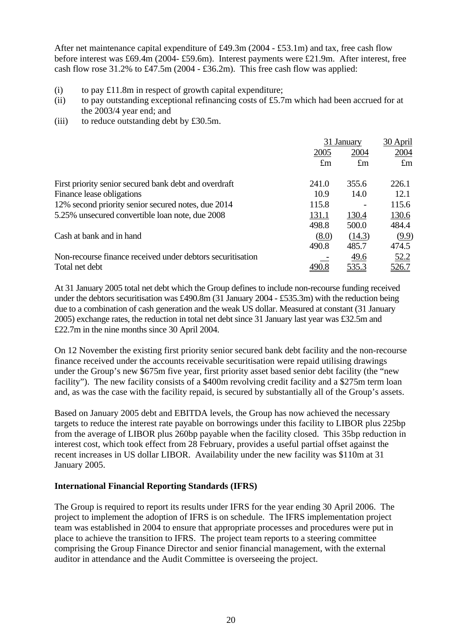After net maintenance capital expenditure of £49.3m (2004 - £53.1m) and tax, free cash flow before interest was £69.4m (2004- £59.6m). Interest payments were £21.9m. After interest, free cash flow rose 31.2% to £47.5m (2004 - £36.2m). This free cash flow was applied:

- (i) to pay  $£11.8m$  in respect of growth capital expenditure;
- (ii) to pay outstanding exceptional refinancing costs of £5.7m which had been accrued for at the 2003/4 year end; and
- (iii) to reduce outstanding debt by  $\text{\pounds}30.5m$ .

|                                                            | 31 January  |              | 30 April     |
|------------------------------------------------------------|-------------|--------------|--------------|
|                                                            | 2005        | 2004         | 2004         |
|                                                            | $\pounds$ m | $\pounds$ m  | $\pounds$ m  |
| First priority senior secured bank debt and overdraft      | 241.0       | 355.6        | 226.1        |
| Finance lease obligations                                  | 10.9        | 14.0         | 12.1         |
| 12% second priority senior secured notes, due 2014         | 115.8       |              | 115.6        |
| 5.25% unsecured convertible loan note, due 2008            | 131.1       | 130.4        | 130.6        |
|                                                            | 498.8       | 500.0        | 484.4        |
| Cash at bank and in hand                                   | (8.0)       | (14.3)       | (9.9)        |
|                                                            | 490.8       | 485.7        | 474.5        |
| Non-recourse finance received under debtors securitisation |             | 49.6         | 52.2         |
| Total net debt                                             |             | <u>535.3</u> | <u>526.7</u> |

At 31 January 2005 total net debt which the Group defines to include non-recourse funding received under the debtors securitisation was £490.8m (31 January 2004 - £535.3m) with the reduction being due to a combination of cash generation and the weak US dollar. Measured at constant (31 January 2005) exchange rates, the reduction in total net debt since 31 January last year was £32.5m and £22.7m in the nine months since 30 April 2004.

On 12 November the existing first priority senior secured bank debt facility and the non-recourse finance received under the accounts receivable securitisation were repaid utilising drawings under the Group's new \$675m five year, first priority asset based senior debt facility (the "new facility"). The new facility consists of a \$400m revolving credit facility and a \$275m term loan and, as was the case with the facility repaid, is secured by substantially all of the Group's assets.

Based on January 2005 debt and EBITDA levels, the Group has now achieved the necessary targets to reduce the interest rate payable on borrowings under this facility to LIBOR plus 225bp from the average of LIBOR plus 260bp payable when the facility closed. This 35bp reduction in interest cost, which took effect from 28 February, provides a useful partial offset against the recent increases in US dollar LIBOR. Availability under the new facility was \$110m at 31 January 2005.

# **International Financial Reporting Standards (IFRS)**

The Group is required to report its results under IFRS for the year ending 30 April 2006. The project to implement the adoption of IFRS is on schedule. The IFRS implementation project team was established in 2004 to ensure that appropriate processes and procedures were put in place to achieve the transition to IFRS. The project team reports to a steering committee comprising the Group Finance Director and senior financial management, with the external auditor in attendance and the Audit Committee is overseeing the project.